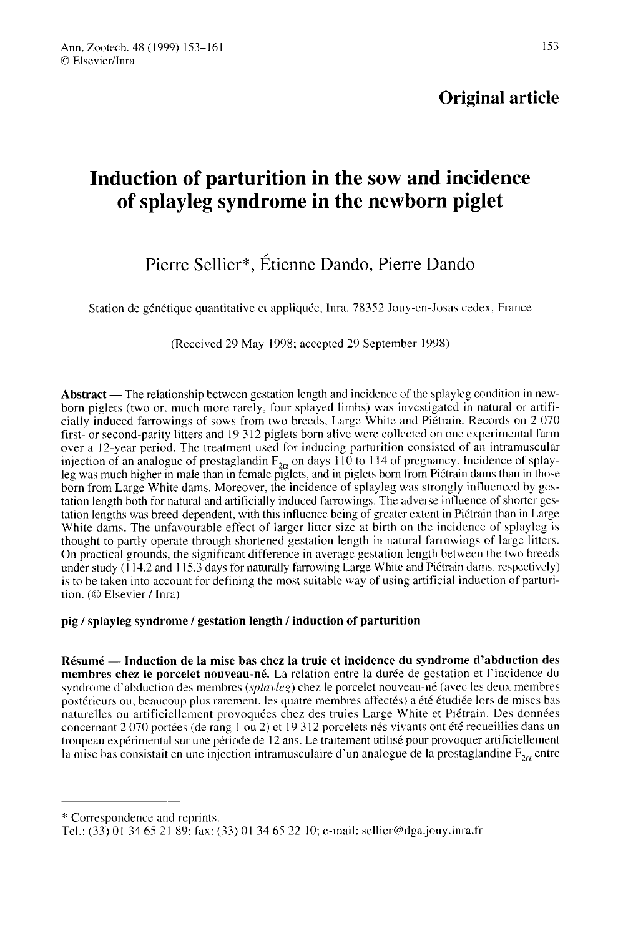## Original article

# Induction of parturition in the sow and incidence of splayleg syndrome in the newborn piglet

# Pierre Sellier\*, Étienne Dando. Pierre Dando

Station de génétique quantitative et appliquée, Inra, 78352 Jouy-en-Josas cedex, France

(Received 29 May 1998; accepted 29 September 1998)

Abstract — The relationship between gestation length and incidence of the splayleg condition in newborn piglets (two or, much more rarely, four splayed limbs) was investigated in natural or artificially induced farrowings of sows from two breeds, Large White and Piétrain. Records on 2 070 first- or second-parity litters and 19 312 piglets born alive were collected on one experimental farm over a 12-year period. The treatment used for inducing parturition consisted of an intramuscular injection of an analogue of prostaglandin  $F_{2\alpha}$  on days 110 to 114 of pregnancy. Incidence of splayleg was much higher in male than in female piglets, and in piglets born from Piétrain dams than in those born from Large White dams. Moreover, the incidence of splayleg was strongly influenced by gestation length both for natural and artificially induced farrowings. The adverse influence of shorter gestation lengths was breed-dependent, with this influence being of greater extent in Piétrain than in Large White dams. The unfavourable effect of larger litter size at birth on the incidence of splayleg is thought to partly operate through shortened gestation length in natural farrowings of large litters. On practical grounds, the significant difference in average gestation length between the two breeds under study (1 14.2 and 115.3 days for naturally farrowing Large White and Piétrain dams, respectively) is to be taken into account for defining the most suitable way of using artificial induction of parturition. (© Elsevier / Inra)

### pig / splayleg syndrome / gestation length / induction of parturition

Résumé — Induction de la mise bas chez la truie et incidence du syndrome d'abduction des membres chez le porcelet nouveau-né. La relation entre la durée de gestation et l'incidence du syndrome d'abduction des membres *(splayleg)* chez le porcelet nouveau-né (avec les deux membres postérieurs ou, beaucoup plus rarement, les quatre membres affectés) a été étudiée lors de mises bas naturelles ou artificiellement provoquées chez des truies Large White et Piétrain. Des données concernant 2 070 portées (de rang 1 ou 2) et 19 312 porcelets nés vivants ont été recueillies dans un troupeau expérimental sur une période de 12 ans. Le traitement utilisé pour provoquer artificiellement la mise bas consistait en une injection intramusculaire d'un analogue de la prostaglandine  $F_{2\alpha}$  entre

'k Correspondence and reprints.

Tel.: (33) 01 34 65 21 89; fax: (33) O1 34 65 22 10; e-mail: sellier@dga.jouy.inra.fr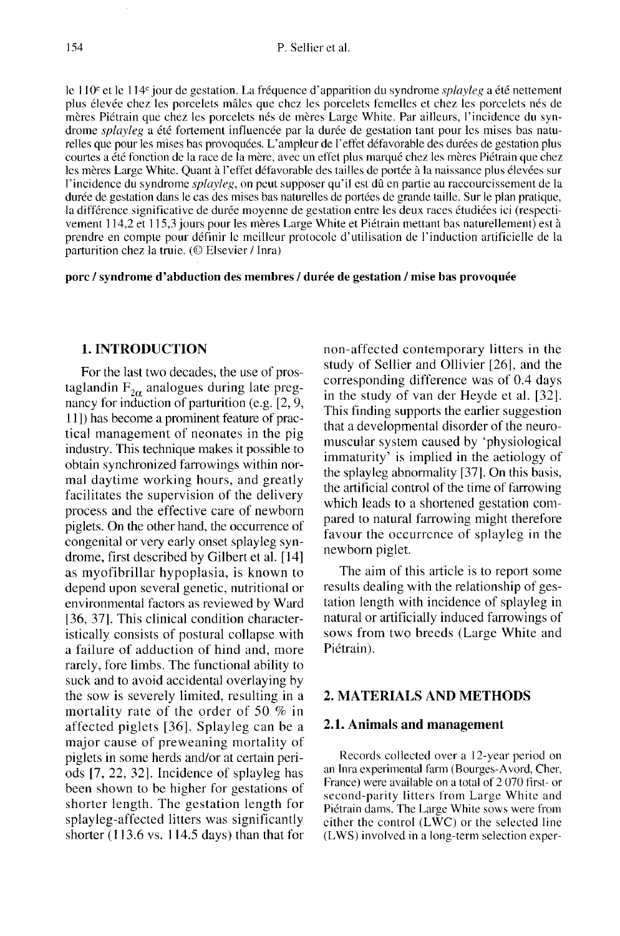154  $\blacksquare$ <br>le 110<sup>e</sup> et le 114<sup>e</sup> jour de gestation. La fréquence d'apparition du syndrome *splayleg* a été nettement plus élevée chez les porcelets mâles que chez les porcelets femelles et chez les porcelets nés de mères Piétrain que chez les porcelets nés de mères Large White. Par ailleurs, l'incidence du syndrome splayleg a été fortement influencée par la durée de gestation tant pour les mises bas naturelles que pour les mises bas provoquées. L'ampleur de l'effet défavorable des durées de gestation plus courtes a été fonction de la race de la mère, avec un effet plus marqué chez les mères Piétrain que chez les mères Large White. Quant à l'effet défavorable des tailles de portée à la naissance plus élevées sur l'incidence du syndrome splayleg, on peut supposer qu'il est dû en partie au raccourcissement de la durée de gestation dans le cas des mises bas naturelles de portées de grande taille. Sur le plan pratique, la différence significative de durée moyenne de gestation entre les deux races étudiées ici (respecti vement 114,2 et 115,3 jours pour les mères Large White et Piétrain mettant bas naturellement) est à prendre en compte pour définir le meilleur protocole d'utilisation de l'induction artificielle de la parturition chez la truie. (© Elsevier / Inra)

porc / syndrome d'abduction des membres / durée de gestation / mise bas provoquée

#### 1. INTRODUCTION

For the last two decades, the use of prostaglandin  $F_{2\alpha}$  analogues during late pregnancy for induction of parturition (e.g. [2, 9, 11 ]) has become a prominent feature of practical management of neonates in the pig industry. This technique makes it possible to obtain synchronized farrowings within normal daytime working hours, and greatly facilitates the supervision of the delivery process and the effective care of newborn piglets. On the other hand, the occurrence of congenital or very early onset splayleg syn-<br>drome, first described by Gilbert et al. [14] as myofibrillar hypoplasia, is known to depend upon several genetic, nutritional or environmental factors as reviewed by Ward [36, 37]. This clinical condition characteristically consists of postural collapse with a failure of adduction of hind and, more rarely, fore limbs. The functional ability to suck and to avoid accidental overlaying by the sow is severely limited, resulting in a mortality rate of the order of 50 % in affected piglets [36]. Splayleg can be a major cause of preweaning mortality of piglets in some herds and/or at certain periods [7, 22, 32]. Incidence of splayleg has been shown to be higher for gestations of shorter length. The gestation length for splayleg-affected litters was significantly shorter  $(113.6 \text{ vs. } 114.5 \text{ days})$  than that for

non-affected contemporary litters in the study of Sellier and Ollivier [26], and the corresponding difference was of 0.4 days in the study of van der Heyde et al. [32]. This finding supports the earlier suggestion that a developmental disorder of the neuromuscular system caused by 'physiological immaturity' is implied in the aetiology of the splayleg abnormality [37j. On this basis, the artificial control of the time of farrowing which leads to a shortened gestation compared to natural farrowing might therefore favour the occurrence of splayleg in the newborn piglet.

The aim of this article is to report some results dealing with the relationship of gestation length with incidence of splayleg in natural or artificially induced farrowings of sows from two breeds (Large White and Piétrain).

### 2. MATERIALS AND METHODS

#### 2.1. Animals and management

Records collected over a 12-year period on an Inra experimental farm (Bourges-Avord, Cher, France) were available on a total of 2 070 first- or second-parity litters from Large White and Piétrain dams. The Large White sows were from either the control (LWC) or the selected line (LWS) involved in a long-term selection exper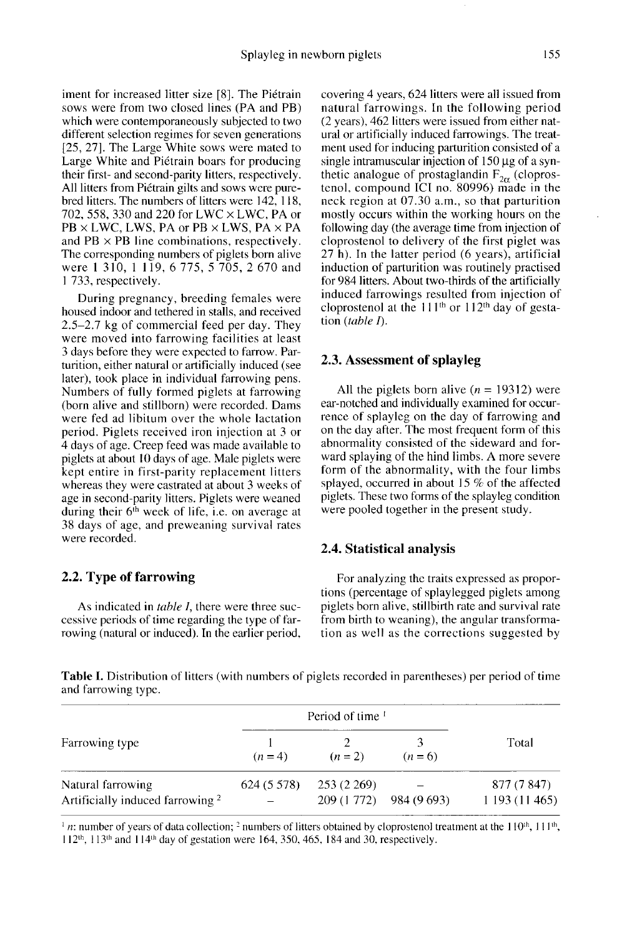iment for increased litter size [8]. The Piétrain sows were from two closed lines (PA and PB) which were contemporaneously subjected to two different selection regimes for seven generations [25, 27]. The Large White sows were mated to Large White and Piétrain boars for producing their first- and second-parity litters, respectively. All litters from Piétrain gilts and sows were purebred litters. The numbers of litters were 142, 118, 702, 558, 330 and 220 for LWC x LWC, PA or  $PB \times LWC$ , LWS, PA or PB  $\times LWS$ , PA  $\times PA$ and  $PB \times PB$  line combinations, respectively. The corresponding numbers of piglets born alive were 1 310, 1 119, 6 775, 5 705, 2 670 and 1 733, respectively.

During pregnancy, breeding females were housed indoor and tethered in stalls, and received 2.5-2.7 kg of commercial feed per day. They were moved into farrowing facilities at least 3 days before they were expected to farrow. Parturition, either natural or artificially induced (see later), took place in individual farrowing pens. Numbers of fully formed piglets at farrowing (born alive and stillborn) were recorded. Dams were fed ad libitum over the whole lactation period. Piglets received iron injection at 3 or 4 days of age. Creep feed was made available to piglets at about l0 days of age. Male piglets were kept entire in first-parity replacement litters whereas they were castrated at about 3 weeks of age in second-parity litters. Piglets were weaned during their 6'h week of life, i.e. on average at 38 days of age, and preweaning survival rates were recorded.

#### 2.2. Type of farrowing

As indicated in *table I*, there were three successive periods of time regarding the type of farrowing (natural or induced). In the earlier period,

covering 4 years, 624 litters were all issued from natural farrowings. In the following period (2 years), 462 litters were issued from either natural or artificially induced farrowings. The treatment used for inducing parturition consisted of a single intramuscular injection of  $150 \mu$ g of a synthetic analogue of prostaglandin  $F_{2\alpha}$  (cloprostenol, compound ICI no. 80996) made in the neck region at 07.30 a.m., so that parturition mostly occurs within the working hours on the following day (the average time from injection of cloprostenol to delivery of the first piglet was 27 h). In the latter period (6 years), artificial induction of parturition was routinely practised for 984 litters. About two-thirds of the artificially induced farrowings resulted from injection of cloprostenol at the  $111<sup>th</sup>$  or  $112<sup>th</sup>$  day of gestation (*table I*).

#### 2.3. Assessment of splayleg

All the piglets born alive  $(n = 19312)$  were ear-notched and individually examined for occurrence of splayleg on the day of farrowing and on the day after. The most frequent form of this abnormality consisted of the sideward and forward splaying of the hind limbs. A more severe form of the abnormality, with the four limbs splayed, occurred in about 15  $%$  of the affected piglets. These two forms of the splayleg condition were pooled together in the present study.

#### 2.4. Statistical analysis

For analyzing the traits expressed as proportions (percentage of splaylegged piglets among piglets born alive, stillbirth rate and survival rate from birth to weaning), the angular transformation as well as the corrections suggested by

**Table I.** Distribution of litters (with numbers of piglets recorded in parentheses) per period of time and farrowing type.

|                                                                  | Period of time <sup>1</sup> |             |                         |                            |  |
|------------------------------------------------------------------|-----------------------------|-------------|-------------------------|----------------------------|--|
| Farrowing type                                                   | $(n=4)$                     | $(n = 2)$   | $(n=6)$                 | Total                      |  |
| Natural farrowing<br>Artificially induced farrowing <sup>2</sup> | 624 (5 578)                 | 253 (2 269) | 209 (1 772) 984 (9 693) | 877 (7 847)<br>1193(11465) |  |

<sup>1</sup> n: number of years of data collection; <sup>2</sup> numbers of litters obtained by cloprostenol treatment at the 110<sup>th</sup>, 111<sup>th</sup>,  $112<sup>th</sup>$ ,  $113<sup>th</sup>$  and  $114<sup>th</sup>$  day of gestation were 164, 350, 465, 184 and 30, respectively.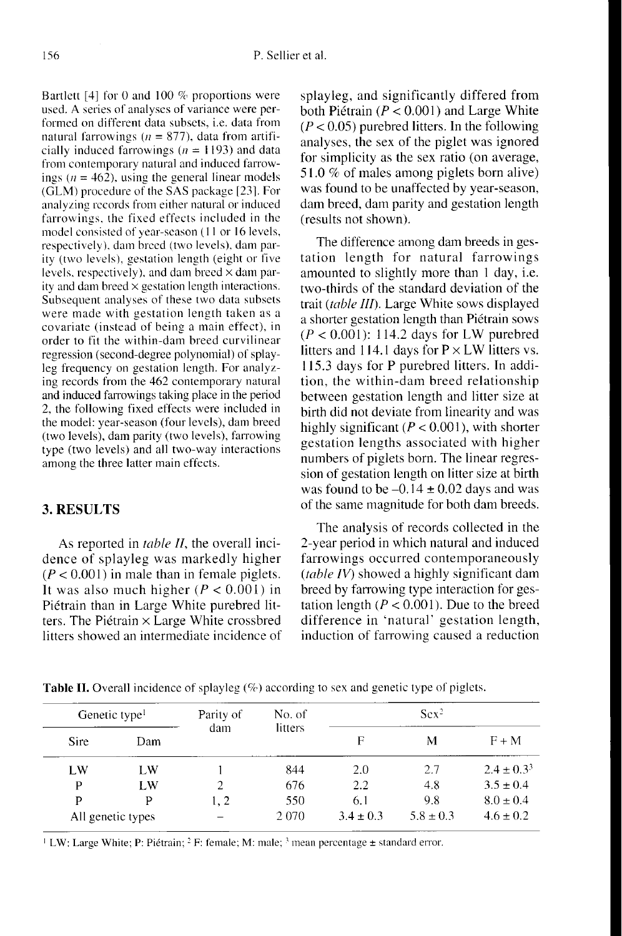Bartlett [4] for 0 and 100  $%$  proportions were used. A series of analyses of variance were performed on different data subsets, i.e. data from natural farrowings ( $n = 877$ ), data from artificially induced farrowings ( $n = 1193$ ) and data from contemporary natural and induced farrowings ( $n = 462$ ), using the general linear models (GLM) procedure of the SAS package [23!. For analyzing records from either natural or induced farrowings. the fixed effects included in the model consisted of year-season (11 or 16 levels, respectively), dam breed (two levels), dam parity (two levels), gestation length (eight or five levels, respectively), and dam breed  $\times$  dam parity and dam breed  $\times$  gestation length interactions. Subsequent analyses of these two data subsets were made with gestation length taken as a covariate (instead of being a main effect), in order to fit the within-dam breed curvilinear regression (second-degree polynomial) of splayleg frequency on gestation length. For analyzing records from the 462 contemporary natural and induced farrowings taking place in the period 2, the following fixed effects were included in the model: year-season (four levels), dam breed (two levels), dam parity (two levels), farrowing type (two levels) and all two-way interactions among the three latter main effects.

#### 3. RESULTS

As reported in *table II*, the overall incidence of splayleg was markedly higher  $(P < 0.001)$  in male than in female piglets. It was also much higher  $(P < 0.001)$  in Piétrain than in Large White purebred litters. The Piétrain x Large White crossbred litters showed an intermediate incidence of splayleg, and significantly differed from both Piétrain ( $P < 0.001$ ) and Large White  $(P < 0.05)$  purebred litters. In the following analyses, the sex of the piglet was ignored for simplicity as the sex ratio (on average, 51.0 % of males among piglets born alive) was found to be unaffected by year-season, dam breed, dam parity and gestation length (results not shown).

The difference among dam breeds in gestation length for natural farrowings amounted to slightly more than 1 day, i.e. two-thirds of the standard deviation of the trait (table III). Large White sows displayed a shorter gestation length than Pi6train sows  $(P < 0.001)$ : 114.2 days for LW purebred litters and 114.1 days for  $P \times LW$  litters vs. 115.3 days for P purebred litters. In addition, the within-dam breed relationship between gestation length and litter size at birth did not deviate from linearity and was highly significant ( $P < 0.001$ ), with shorter gestation lengths associated with higher numbers of piglets born. The linear regression of gestation length on litter size at birth was found to be  $-0.14 \pm 0.02$  days and was of the same magnitude for both dam breeds.

The analysis of records collected in the 2-year period in which natural and induced farrowings occurred contemporaneously (table IV) showed a highly significant dam breed by farrowing type interaction for gestation length ( $P < 0.001$ ). Due to the breed difference in 'natural' gestation length, induction of farrowing caused a reduction

| Genetic type <sup>1</sup> |                   | Parity of | No. of  | Sex <sup>2</sup> |               |                 |
|---------------------------|-------------------|-----------|---------|------------------|---------------|-----------------|
| Sire                      | Dam               | dam       | litters | F                | M             | $F + M$         |
| LW                        | LW                |           | 844     | 2.0              | 2.7           | $2.4 \pm 0.3^3$ |
| P                         | LW                | 2         | 676     | 2.2              | 4.8           | $3.5 \pm 0.4$   |
| P                         | D                 | 1.2       | 550     | 6.1              | 9.8           | $8.0 \pm 0.4$   |
|                           | All genetic types |           | 2070    | $3.4 \pm 0.3$    | $5.8 \pm 0.3$ | $4.6 \pm 0.2$   |

Table II. Overall incidence of splayleg (%) according to sex and genetic type of piglets.

<sup>1</sup> LW: Large White; P: Piétrain; <sup>2</sup> F: female; M: male;  $^3$  mean percentage  $\pm$  standard error.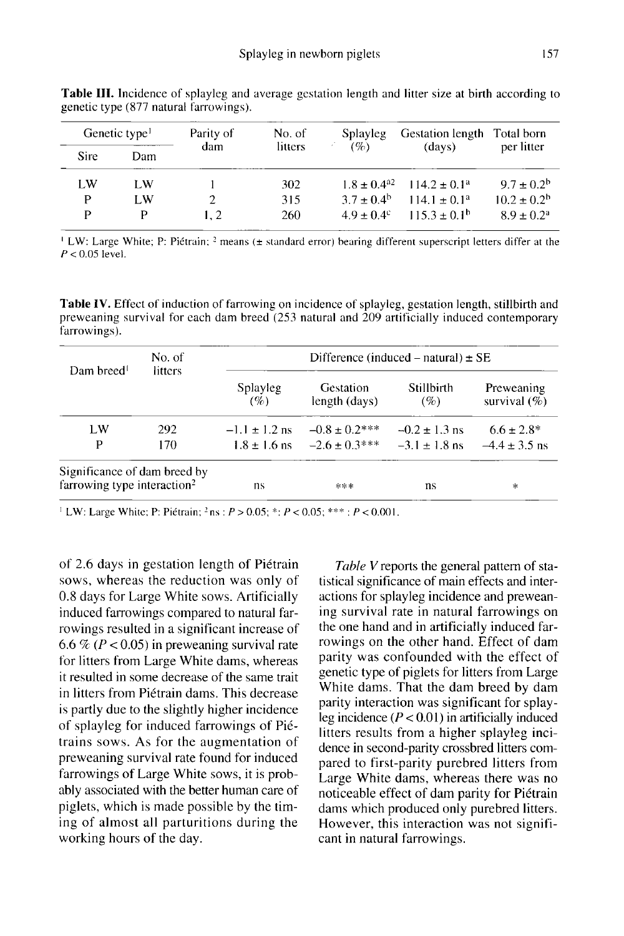| Genetic type <sup>1</sup> |     | Parity of | No. of  | <b>Splayleg</b>        | <b>Gestation length</b> | Total born             |
|---------------------------|-----|-----------|---------|------------------------|-------------------------|------------------------|
| <b>Sire</b>               | Dam | dam       | litters | (%)                    | (days)                  | per litter             |
| LW.                       | LW  |           | 302     | $1.8 + 0.4^{22}$       | $114.2 \pm 0.1^a$       | $9.7 \pm 0.2^{\rm b}$  |
| P                         | LW  |           | 315     | $3.7 + 0.4^b$          | $114.1 + 0.1a$          | $10.2 \pm 0.2^{\rm b}$ |
| P                         | Þ   | 1.2       | 260     | $49 + 04$ <sup>c</sup> | $1153 + 01^{b}$         | $8.9 \pm 0.2^a$        |

Table III. Incidence of splayleg and average gestation length and litter size at birth according to genetic type (877 natural farrowings).

<sup>1</sup> LW: Large White; P: Piétrain;  $^2$  means ( $\pm$  standard error) bearing different superscript letters differ at the  $P < 0.05$  level.

Table IV. Effect of induction of farrowing on incidence of splayleg, gestation length, stillbirth and preweaning survival for each dam breed (253 natural and 209 artificially induced contemporary farrowings).

| Dam breed!                                                              | No. of<br>litters | Difference (induced – natural) $\pm$ SE |                            |                   |                                |  |  |
|-------------------------------------------------------------------------|-------------------|-----------------------------------------|----------------------------|-------------------|--------------------------------|--|--|
|                                                                         |                   | Splayleg<br>(%)                         | Gestation<br>length (days) | Stillbirth<br>(%) | Preweaning<br>survival $(\% )$ |  |  |
| LW                                                                      | 292               | $-1.1 \pm 1.2$ ns                       | $-0.8 \pm 0.2$ ***         | $-0.2 \pm 1.3$ ns | $6.6 \pm 2.8^*$                |  |  |
| P<br>170                                                                |                   | $1.8 \pm 1.6$ ns                        | $-2.6 \pm 0.3***$          | $-3.1 \pm 1.8$ ns | $-4.4 \pm 3.5$ ns              |  |  |
| Significance of dam breed by<br>farrowing type interaction <sup>2</sup> |                   | ns                                      | ***                        | ns                | $\ast$                         |  |  |

<sup>1</sup> LW: Large White; P: Piétrain; <sup>2</sup> ns :  $P > 0.05$ ; \*;  $P < 0.05$ ; \*\*\* ;  $P < 0.001$ .

of 2.6 days in gestation length of Pi6train sows, whereas the reduction was only of 0.8 days for Large White sows. Artificially induced farrowings compared to natural farrowings resulted in a significant increase of 6.6 % ( $P < 0.05$ ) in preweaning survival rate for litters from Large White dams, whereas it resulted in some decrease of the same trait in litters from Piétrain dams. This decrease is partly due to the slightly higher incidence of splayleg for induced farrowings of Pi6 trains sows. As for the augmentation of preweaning survival rate found for induced farrowings of Large White sows, it is probably associated with the better human care of piglets, which is made possible by the timing of almost all parturitions during the working hours of the day.

Table V reports the general pattern of statistical significance of main effects and interactions for splayleg incidence and preweaning survival rate in natural farrowings on the one hand and in artificially induced farrowings on the other hand. Effect of dam parity was confounded with the effect of genetic type of piglets for litters from Large White dams. That the dam breed by dam parity interaction was significant for splayleg incidence  $(P < 0.01)$  in artificially induced litters results from a higher splayleg incidence in second-parity crossbred litters compared to first-parity purebred litters from Large White dams, whereas there was no noticeable effect of dam parity for Piétrain dams which produced only purebred litters. However, this interaction was not signifi cant in natural farrowings.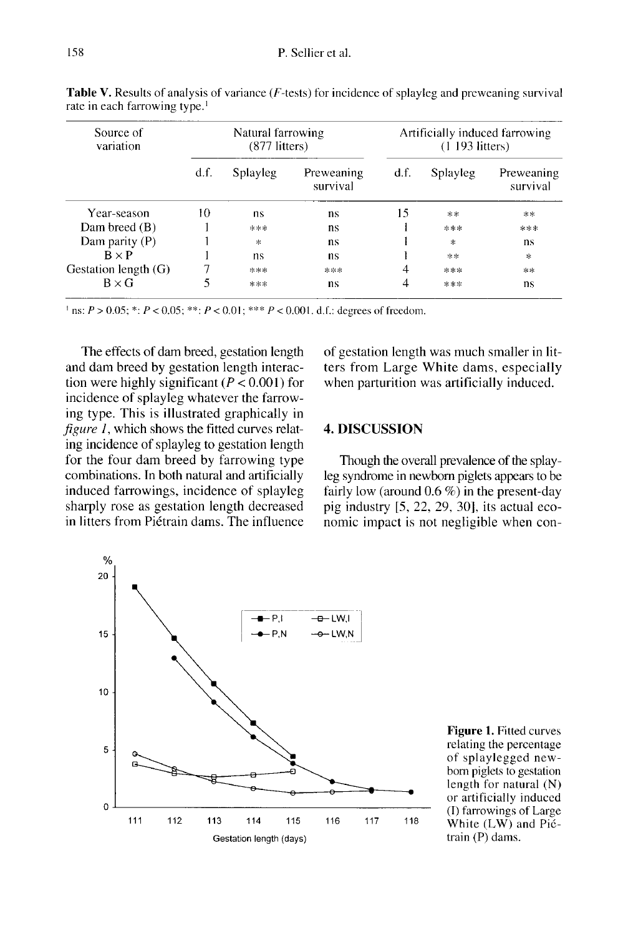| Source of<br>variation | Natural farrowing<br>$(877$ litters) |          |                        | Artificially induced farrowing<br>$(1\ 193\ 1)$ |          |                        |
|------------------------|--------------------------------------|----------|------------------------|-------------------------------------------------|----------|------------------------|
|                        | df.                                  | Splayleg | Preweaning<br>survival | d.f.                                            | Splayleg | Preweaning<br>survival |
| Year-season            | 10                                   | ns       | ns.                    | 15                                              | **       | $**$                   |
| Dam breed $(B)$        |                                      | ***      | ns                     |                                                 | ***      | ***                    |
| Dam parity (P)         |                                      | *        | ns                     |                                                 | *        | ns                     |
| $R \times P$           |                                      | ns       | ns                     |                                                 | **       | $\ast$                 |
| Gestation length (G)   |                                      | ***      | ***                    | 4                                               | ***      | $**$                   |
| $B \times G$           |                                      | ***      | ns                     |                                                 | ***      | ns                     |

Table V. Results of analysis of variance (F-tests) for incidence of splayleg and preweaning survival rate in each farrowing type.<sup>1</sup>

<sup>1</sup> ns:  $P > 0.05$ ; \*:  $P < 0.05$ ; \*\*:  $P < 0.01$ ; \*\*\*  $P < 0.001$ . d.f.: degrees of freedom.

The effects of dam breed, gestation length and dam breed by gestation length interaction were highly significant ( $P < 0.001$ ) for incidence of splayleg whatever the farrowing type. This is illustrated graphically in figure  $1$ , which shows the fitted curves relating incidence of splayleg to gestation length for the four dam breed by farrowing type combinations. In both natural and artificially induced farrowings, incidence of splayleg sharply rose as gestation length decreased in litters from Pi6train dams. The influence of gestation length was much smaller in litters from Large White dams, especially when parturition was artificially induced.

#### 4. DISCUSSION

Though the overall prevalence of the splayleg syndrome in newborn piglets appears to be fairly low (around  $0.6\%$ ) in the present-day pig industry [5, 22, 29, 30], its actual economic impact is not negligible when con-



**Figure 1. Fitted curves** relating the percentage of splaylegged newborn piglets to gestation length for natural  $(N)$ or artificially induced (I) farrowings of Large White  $(LW)$  and Pictrain (P) dams.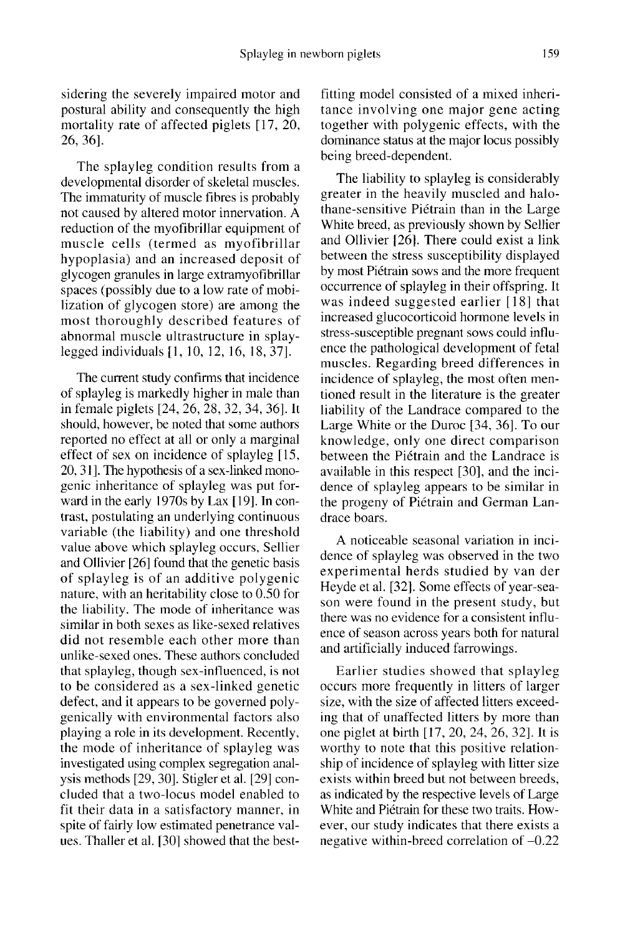sidering the severely impaired motor and postural ability and consequently the high mortality rate of affected piglets [17, 20, 26, 36].

The splayleg condition results from a developmental disorder of skeletal muscles.<br>The immaturity of muscle fibres is probably not caused by altered motor innervation. A reduction of the myofibrillar equipment of muscle cells (termed as myofibrillar hypoplasia) and an increased deposit of glycogen granules in large extramyofibrillar spaces (possibly due to a low rate of mobilization of glycogen store) are among the most thoroughly described features of abnormal muscle ultrastructure in splaylegged individuals [l, 10, 12, 16, 18, 37].

The current study confirms that incidence of splayleg is markedly higher in male than in female piglets [24, 26, 28, 32, 34, 36]. It should, however, be noted that some authors reported no effect at all or only a marginal effect of sex on incidence of splayleg [15, 20, 31]. The hypothesis of a sex-linked monogenic inheritance of splayleg was put forward in the early 1970s by Lax [19]. In contrast, postulating an underlying continuous variable (the liability) and one threshold value above which splayleg occurs, Sellier and Ollivier [26] found that the genetic basis of splayleg is of an additive polygenic nature, with an heritability close to 0.50 for the liability. The mode of inheritance was similar in both sexes as like-sexed relatives did not resemble each other more than unlike-sexed ones. These authors concluded that splayleg, though sex-influenced, is not to be considered as a sex-linked genetic defect, and it appears to be governed polygenically with environmental factors also playing a role in its development. Recently, the mode of inheritance of splayleg was investigated using complex segregation analysis methods [29, 30]. Stigler et al. [29] concluded that a two-locus model enabled to fit their data in a satisfactory manner, in spite of fairly low estimated penetrance values. Thaller et al. [301 showed that the bestfitting model consisted of a mixed inheritance involving one major gene acting together with polygenic effects, with the dominance status at the major locus possibly being breed-dependent.

The liability to splayleg is considerably greater in the heavily muscled and halothane-sensitive Pi6train than in the Large White breed, as previously shown by Sellier and Ollivier [26]. There could exist a link between the stress susceptibility displayed by most Piétrain sows and the more frequent occurrence of splayleg in their offspring. It was indeed suggested earlier [18] that increased glucocorticoid hormone levels in stress-susceptible pregnant sows could influence the pathological development of fetal muscles. Regarding breed differences in incidence of splayleg, the most often mentioned result in the literature is the greater liability of the Landrace compared to the Large White or the Duroc [34, 36]. To our knowledge, only one direct comparison between the Pi6train and the Landrace is available in this respect [30], and the incidence of splayleg appears to be similar in the progeny of Piétrain and German Landrace boars.

A noticeable seasonal variation in incidence of splayleg was observed in the two experimental herds studied by van der Heyde et al. [32]. Some effects of year-season were found in the present study, but there was no evidence for a consistent intluence of season across years both for natural and artificially induced farrowings.

Earlier studies showed that splayleg occurs more frequently in litters of larger size, with the size of affected litters exceeding that of unaffected litters by more than one piglet at birth [17, 20, 24, 26, 32]. It is worthy to note that this positive relationship of incidence of splayleg with litter size exists within breed but not between breeds, as indicated by the respective levels of Large White and Pi6train for these two traits. However, our study indicates that there exists a negative within-breed correlation of -0.22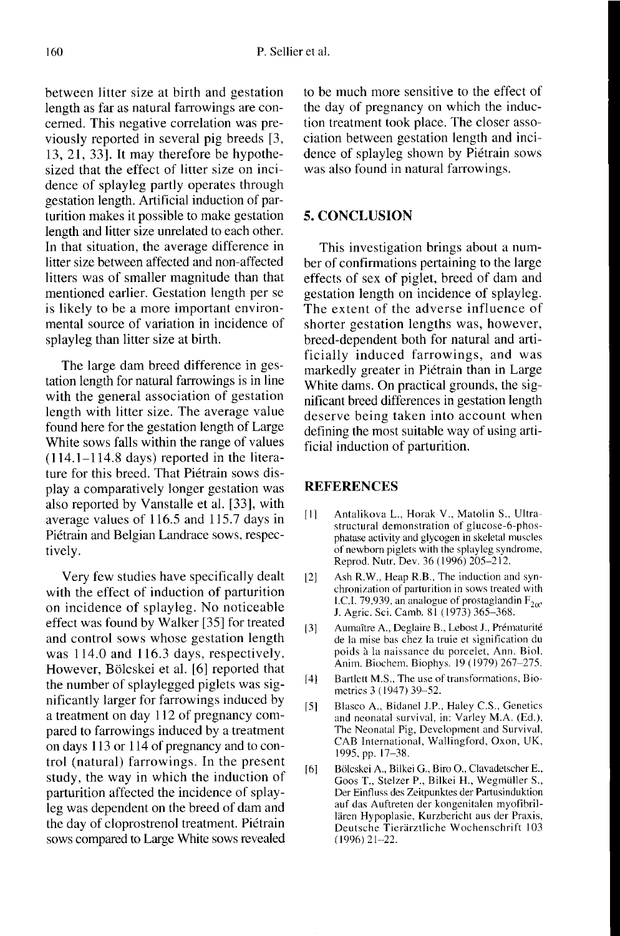between litter size at birth and gestation length as far as natural farrowings are concerned. This negative correlation was previously reported in several pig breeds [3, 13, 21, 33]. It may therefore be hypothesized that the effect of litter size on incidence of splayleg partly operates through gestation length. Artificial induction of parturition makes it possible to make gestation length and litter size unrelated to each other. In that situation, the average difference in litter size between affected and non-affected litters was of smaller magnitude than that mentioned earlier. Gestation length per se is likely to be a more important environmental source of variation in incidence of splayleg than litter size at birth.

The large dam breed difference in gestation length for natural farrowings is in line with the general association of gestation length with litter size. The average value found here for the gestation length of Large White sows falls within the range of values (114.1-114.8 days) reported in the literature for this breed. That Piétrain sows display a comparatively longer gestation was also reported by Vanstalle et al. [33], with average values of 116.5 and 115.7 days in Piétrain and Belgian Landrace sows, respectively.

Very few studies have specifically dealt on incidence of splayleg. No noticeable effect was found by Walker [35] for treated and control sows whose gestation length was 114.0 and 116.3 days, respectively. However, Bölcskei et al. [6] reported that the number of splaylegged piglets was significantly larger for farrowings induced by a treatment on day 112 of pregnancy compared to farrowings induced by a treatment on days 113 or 114 of pregnancy and to control (natural) farrowings. In the present study, the way in which the induction of parturition affected the incidence of splayleg was dependent on the breed of dam and the day of cloprostrenol treatment. Piétrain sows compared to Large White sows revealed to be much more sensitive to the effect of the day of pregnancy on which the induction treatment took place. The closer association between gestation length and incidence of splayleg shown by Piétrain sows was also found in natural farrowings.

#### 5. CONCLUSION

This investigation brings about a number of confirmations pertaining to the large effects of sex of piglet, breed of dam and gestation length on incidence of splayleg. The extent of the adverse influence of shorter gestation lengths was, however, breed-dependent both for natural and artificially induced farrowings, and was markedly greater in Pi6train than in Large White dams. On practical grounds, the significant breed differences in gestation length deserve being taken into account when defining the most suitable way of using artificial induction of parturition.

#### **REFERENCES**

- [1] Antalikova L., Horak V., Matolin S., Ultrastructural demonstration of glucose-6-phosphatase activity and glycogen in skeletal muscles of newborn piglets with the splayleg syndrome, Reprod. Nutr. Dev. 36 (1996) 205-212.
- [2] Ash R.W., Heap R.B., The induction and synchronization of parturition in sows treated with I.C.I. 79,939, an analogue of prostaglandin  $F_{2\alpha}$ ,<br>J. Agric. Sci. Camb. 81 (1973) 365-368.
- [3] Aumaître A., Deglaire B., Lebost J., Prématurité de la mise has chez la truie et signification du poids a la naissance du porcelet, Ann. Biol. Anim. Biochem. Biophys. 19 (1979) 267-275.
- [4] Bartlett M.S., The use of transformations, Biometrics 3 (1947) 39-52.
- [5] Blasco A., Bidanel J.P., Haley C.S., Genetics and neonatal survival, in: Varley M.A. (Ed.), The Neonatal Pig, Development and Survival, CAB International, Wallingford, Oxon, UK, 1995, pp. 17-38.
- [6] Bölcskei A., Bilkei G., Biro O., Clavadetscher E., Goos T., Stelzer P., Bilkei H., Wegmüller S., Der Einfluss des Zeitpunktes der Partusinduktion auf das Auftreten der kongenitalen myofibril lären Hypoplasie, Kurzbericht aus der Praxis, Deutsche Tierärztliche Wochenschrift 103 (1996)21-22.